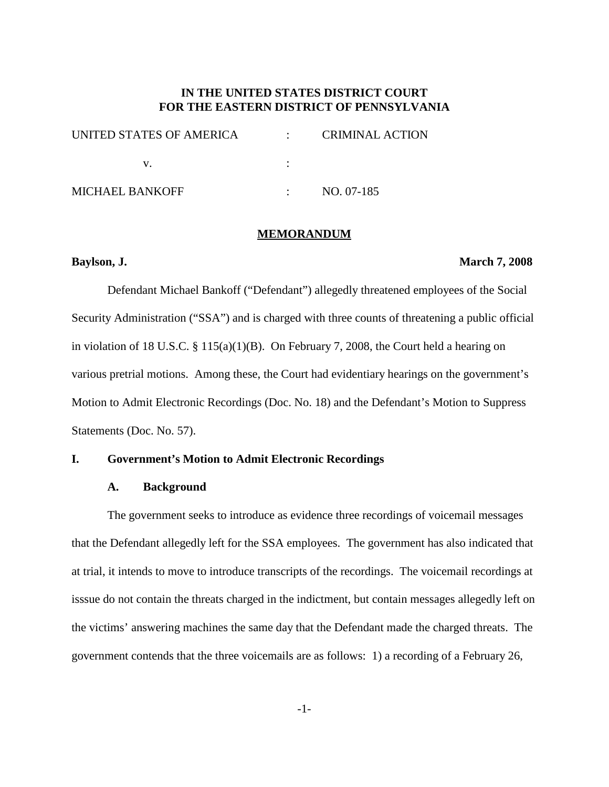# **IN THE UNITED STATES DISTRICT COURT FOR THE EASTERN DISTRICT OF PENNSYLVANIA**

| UNITED STATES OF AMERICA | <b>CRIMINAL ACTION</b> |
|--------------------------|------------------------|
|                          |                        |
| <b>MICHAEL BANKOFF</b>   | NO. 07-185             |

#### **MEMORANDUM**

#### **Baylson, J. March 7, 2008**

Defendant Michael Bankoff ("Defendant") allegedly threatened employees of the Social Security Administration ("SSA") and is charged with three counts of threatening a public official in violation of 18 U.S.C. § 115(a)(1)(B). On February 7, 2008, the Court held a hearing on various pretrial motions. Among these, the Court had evidentiary hearings on the government's Motion to Admit Electronic Recordings (Doc. No. 18) and the Defendant's Motion to Suppress Statements (Doc. No. 57).

## **I. Government's Motion to Admit Electronic Recordings**

### **A. Background**

The government seeks to introduce as evidence three recordings of voicemail messages that the Defendant allegedly left for the SSA employees. The government has also indicated that at trial, it intends to move to introduce transcripts of the recordings. The voicemail recordings at isssue do not contain the threats charged in the indictment, but contain messages allegedly left on the victims' answering machines the same day that the Defendant made the charged threats. The government contends that the three voicemails are as follows: 1) a recording of a February 26,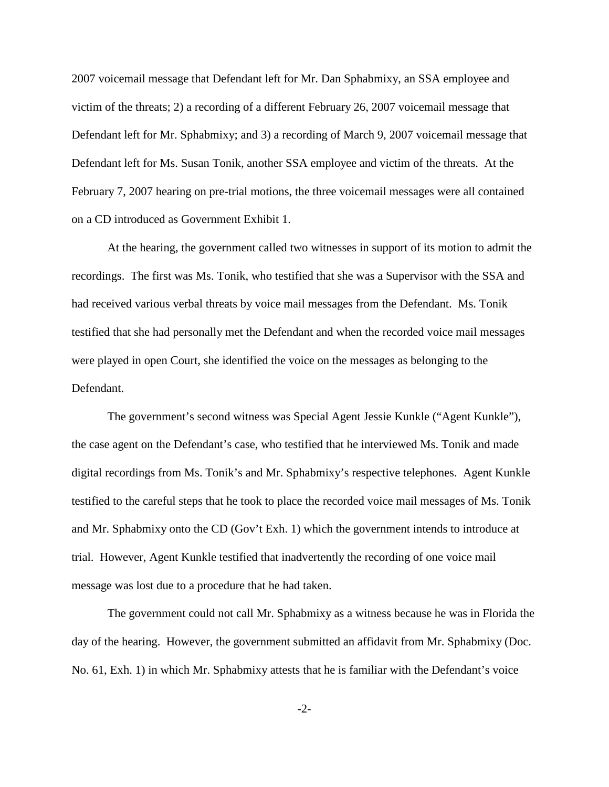2007 voicemail message that Defendant left for Mr. Dan Sphabmixy, an SSA employee and victim of the threats; 2) a recording of a different February 26, 2007 voicemail message that Defendant left for Mr. Sphabmixy; and 3) a recording of March 9, 2007 voicemail message that Defendant left for Ms. Susan Tonik, another SSA employee and victim of the threats. At the February 7, 2007 hearing on pre-trial motions, the three voicemail messages were all contained on a CD introduced as Government Exhibit 1.

At the hearing, the government called two witnesses in support of its motion to admit the recordings. The first was Ms. Tonik, who testified that she was a Supervisor with the SSA and had received various verbal threats by voice mail messages from the Defendant. Ms. Tonik testified that she had personally met the Defendant and when the recorded voice mail messages were played in open Court, she identified the voice on the messages as belonging to the Defendant.

The government's second witness was Special Agent Jessie Kunkle ("Agent Kunkle"), the case agent on the Defendant's case, who testified that he interviewed Ms. Tonik and made digital recordings from Ms. Tonik's and Mr. Sphabmixy's respective telephones. Agent Kunkle testified to the careful steps that he took to place the recorded voice mail messages of Ms. Tonik and Mr. Sphabmixy onto the CD (Gov't Exh. 1) which the government intends to introduce at trial. However, Agent Kunkle testified that inadvertently the recording of one voice mail message was lost due to a procedure that he had taken.

The government could not call Mr. Sphabmixy as a witness because he was in Florida the day of the hearing. However, the government submitted an affidavit from Mr. Sphabmixy (Doc. No. 61, Exh. 1) in which Mr. Sphabmixy attests that he is familiar with the Defendant's voice

-2-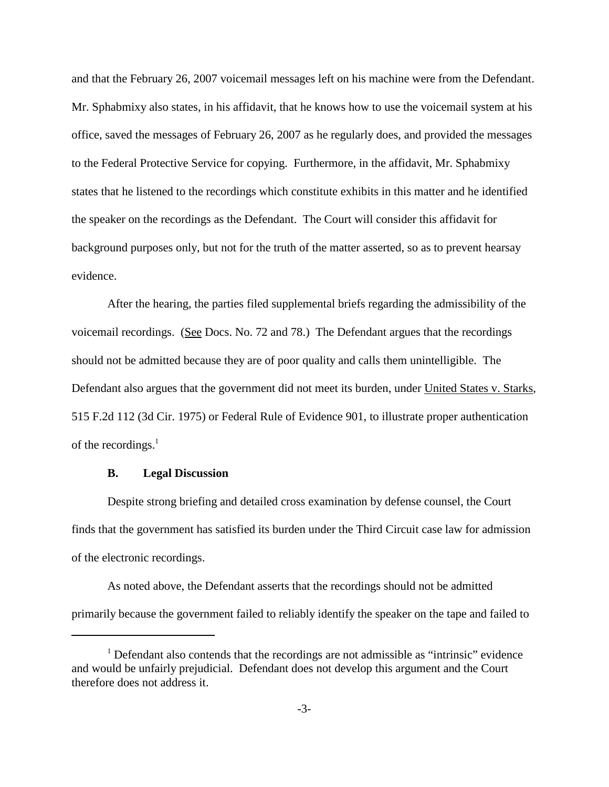and that the February 26, 2007 voicemail messages left on his machine were from the Defendant. Mr. Sphabmixy also states, in his affidavit, that he knows how to use the voicemail system at his office, saved the messages of February 26, 2007 as he regularly does, and provided the messages to the Federal Protective Service for copying. Furthermore, in the affidavit, Mr. Sphabmixy states that he listened to the recordings which constitute exhibits in this matter and he identified the speaker on the recordings as the Defendant. The Court will consider this affidavit for background purposes only, but not for the truth of the matter asserted, so as to prevent hearsay evidence.

After the hearing, the parties filed supplemental briefs regarding the admissibility of the voicemail recordings. (See Docs. No. 72 and 78.) The Defendant argues that the recordings should not be admitted because they are of poor quality and calls them unintelligible. The Defendant also argues that the government did not meet its burden, under United States v. Starks, 515 F.2d 112 (3d Cir. 1975) or Federal Rule of Evidence 901, to illustrate proper authentication of the recordings. 1

## **B. Legal Discussion**

Despite strong briefing and detailed cross examination by defense counsel, the Court finds that the government has satisfied its burden under the Third Circuit case law for admission of the electronic recordings.

As noted above, the Defendant asserts that the recordings should not be admitted primarily because the government failed to reliably identify the speaker on the tape and failed to

<sup>&</sup>lt;sup>1</sup> Defendant also contends that the recordings are not admissible as "intrinsic" evidence and would be unfairly prejudicial. Defendant does not develop this argument and the Court therefore does not address it.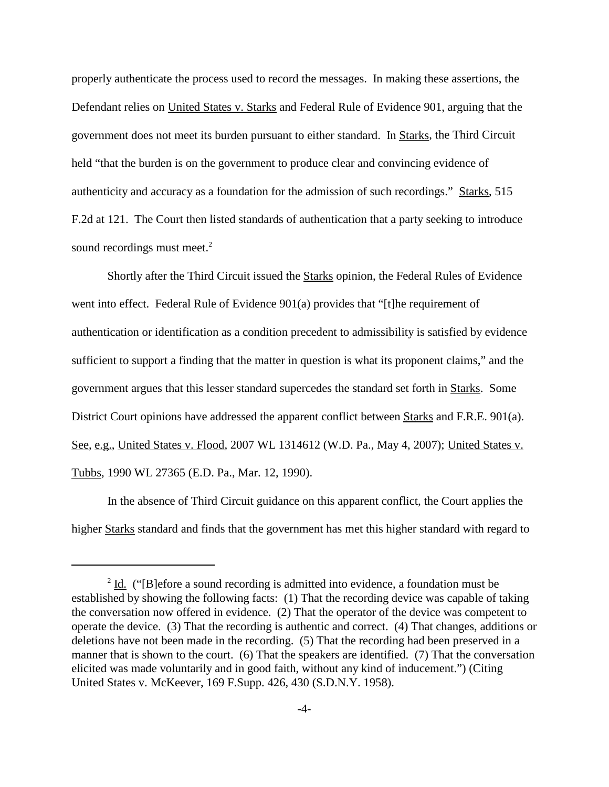properly authenticate the process used to record the messages. In making these assertions, the Defendant relies on United States v. Starks and Federal Rule of Evidence 901, arguing that the government does not meet its burden pursuant to either standard. In Starks, the Third Circuit held "that the burden is on the government to produce clear and convincing evidence of authenticity and accuracy as a foundation for the admission of such recordings." Starks, 515 F.2d at 121. The Court then listed standards of authentication that a party seeking to introduce sound recordings must meet.<sup>2</sup>

Shortly after the Third Circuit issued the Starks opinion, the Federal Rules of Evidence went into effect. Federal Rule of Evidence 901(a) provides that "[t]he requirement of authentication or identification as a condition precedent to admissibility is satisfied by evidence sufficient to support a finding that the matter in question is what its proponent claims," and the government argues that this lesser standard supercedes the standard set forth in Starks. Some District Court opinions have addressed the apparent conflict between Starks and F.R.E. 901(a). See, e.g., United States v. Flood, 2007 WL 1314612 (W.D. Pa., May 4, 2007); United States v. Tubbs, 1990 WL 27365 (E.D. Pa., Mar. 12, 1990).

In the absence of Third Circuit guidance on this apparent conflict, the Court applies the higher Starks standard and finds that the government has met this higher standard with regard to

 $2$  Id. ("[B]efore a sound recording is admitted into evidence, a foundation must be established by showing the following facts: (1) That the recording device was capable of taking the conversation now offered in evidence. (2) That the operator of the device was competent to operate the device. (3) That the recording is authentic and correct. (4) That changes, additions or deletions have not been made in the recording. (5) That the recording had been preserved in a manner that is shown to the court. (6) That the speakers are identified. (7) That the conversation elicited was made voluntarily and in good faith, without any kind of inducement.") (Citing United States v. McKeever, 169 F.Supp. 426, 430 (S.D.N.Y. 1958).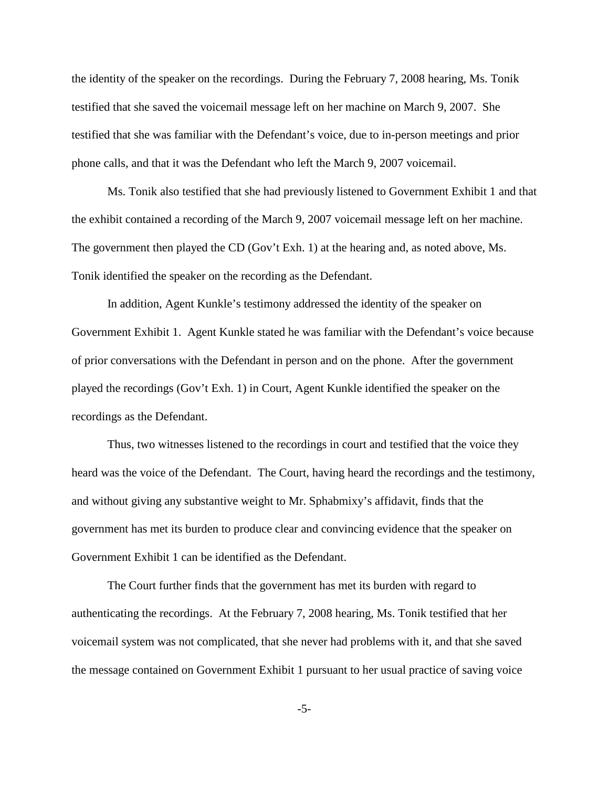the identity of the speaker on the recordings. During the February 7, 2008 hearing, Ms. Tonik testified that she saved the voicemail message left on her machine on March 9, 2007. She testified that she was familiar with the Defendant's voice, due to in-person meetings and prior phone calls, and that it was the Defendant who left the March 9, 2007 voicemail.

Ms. Tonik also testified that she had previously listened to Government Exhibit 1 and that the exhibit contained a recording of the March 9, 2007 voicemail message left on her machine. The government then played the CD (Gov't Exh. 1) at the hearing and, as noted above, Ms. Tonik identified the speaker on the recording as the Defendant.

In addition, Agent Kunkle's testimony addressed the identity of the speaker on Government Exhibit 1. Agent Kunkle stated he was familiar with the Defendant's voice because of prior conversations with the Defendant in person and on the phone. After the government played the recordings (Gov't Exh. 1) in Court, Agent Kunkle identified the speaker on the recordings as the Defendant.

Thus, two witnesses listened to the recordings in court and testified that the voice they heard was the voice of the Defendant. The Court, having heard the recordings and the testimony, and without giving any substantive weight to Mr. Sphabmixy's affidavit, finds that the government has met its burden to produce clear and convincing evidence that the speaker on Government Exhibit 1 can be identified as the Defendant.

The Court further finds that the government has met its burden with regard to authenticating the recordings. At the February 7, 2008 hearing, Ms. Tonik testified that her voicemail system was not complicated, that she never had problems with it, and that she saved the message contained on Government Exhibit 1 pursuant to her usual practice of saving voice

-5-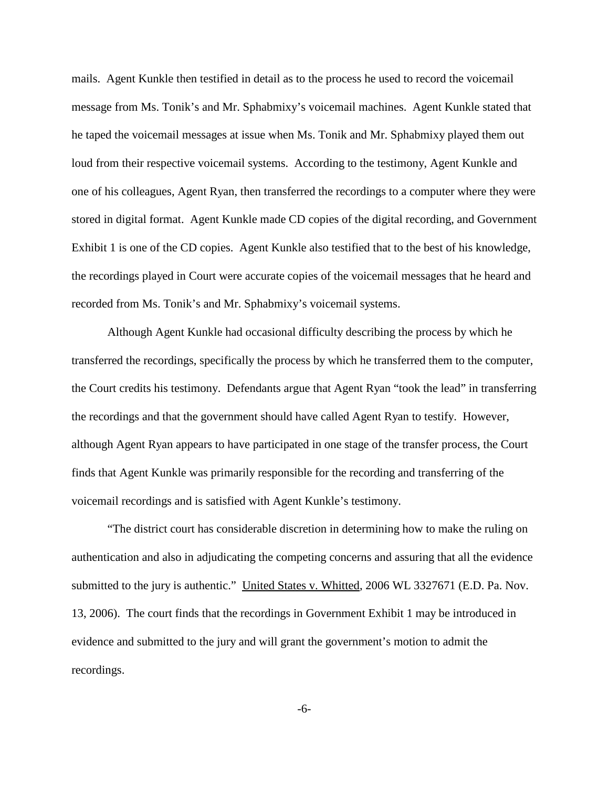mails. Agent Kunkle then testified in detail as to the process he used to record the voicemail message from Ms. Tonik's and Mr. Sphabmixy's voicemail machines. Agent Kunkle stated that he taped the voicemail messages at issue when Ms. Tonik and Mr. Sphabmixy played them out loud from their respective voicemail systems. According to the testimony, Agent Kunkle and one of his colleagues, Agent Ryan, then transferred the recordings to a computer where they were stored in digital format. Agent Kunkle made CD copies of the digital recording, and Government Exhibit 1 is one of the CD copies. Agent Kunkle also testified that to the best of his knowledge, the recordings played in Court were accurate copies of the voicemail messages that he heard and recorded from Ms. Tonik's and Mr. Sphabmixy's voicemail systems.

Although Agent Kunkle had occasional difficulty describing the process by which he transferred the recordings, specifically the process by which he transferred them to the computer, the Court credits his testimony. Defendants argue that Agent Ryan "took the lead" in transferring the recordings and that the government should have called Agent Ryan to testify. However, although Agent Ryan appears to have participated in one stage of the transfer process, the Court finds that Agent Kunkle was primarily responsible for the recording and transferring of the voicemail recordings and is satisfied with Agent Kunkle's testimony.

"The district court has considerable discretion in determining how to make the ruling on authentication and also in adjudicating the competing concerns and assuring that all the evidence submitted to the jury is authentic." United States v. Whitted, 2006 WL 3327671 (E.D. Pa. Nov. 13, 2006). The court finds that the recordings in Government Exhibit 1 may be introduced in evidence and submitted to the jury and will grant the government's motion to admit the recordings.

-6-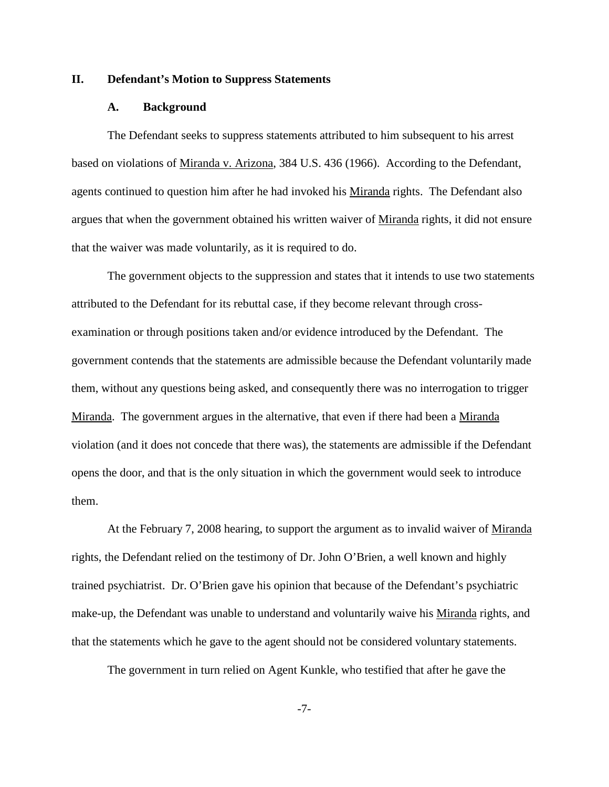## **II. Defendant's Motion to Suppress Statements**

#### **A. Background**

The Defendant seeks to suppress statements attributed to him subsequent to his arrest based on violations of Miranda v. Arizona, 384 U.S. 436 (1966). According to the Defendant, agents continued to question him after he had invoked his Miranda rights. The Defendant also argues that when the government obtained his written waiver of Miranda rights, it did not ensure that the waiver was made voluntarily, as it is required to do.

The government objects to the suppression and states that it intends to use two statements attributed to the Defendant for its rebuttal case, if they become relevant through crossexamination or through positions taken and/or evidence introduced by the Defendant. The government contends that the statements are admissible because the Defendant voluntarily made them, without any questions being asked, and consequently there was no interrogation to trigger Miranda. The government argues in the alternative, that even if there had been a Miranda violation (and it does not concede that there was), the statements are admissible if the Defendant opens the door, and that is the only situation in which the government would seek to introduce them.

At the February 7, 2008 hearing, to support the argument as to invalid waiver of Miranda rights, the Defendant relied on the testimony of Dr. John O'Brien, a well known and highly trained psychiatrist. Dr. O'Brien gave his opinion that because of the Defendant's psychiatric make-up, the Defendant was unable to understand and voluntarily waive his Miranda rights, and that the statements which he gave to the agent should not be considered voluntary statements.

The government in turn relied on Agent Kunkle, who testified that after he gave the

-7-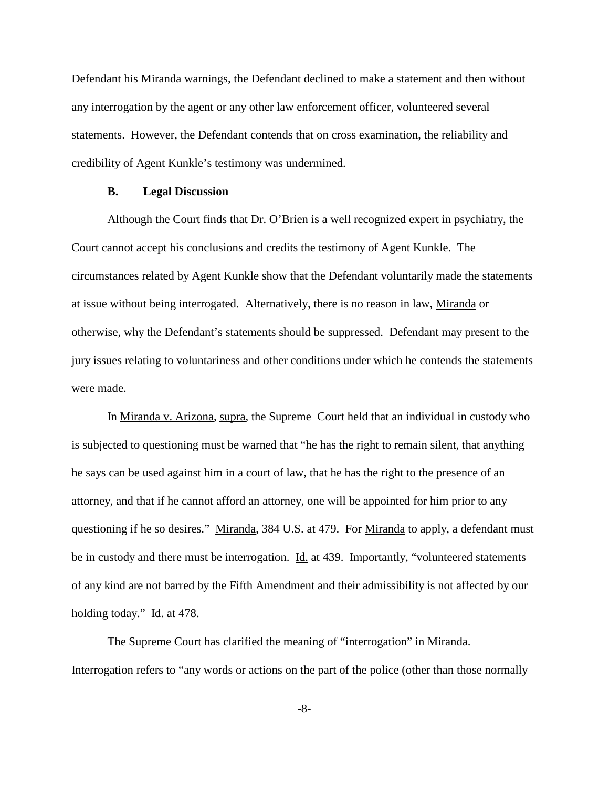Defendant his Miranda warnings, the Defendant declined to make a statement and then without any interrogation by the agent or any other law enforcement officer, volunteered several statements. However, the Defendant contends that on cross examination, the reliability and credibility of Agent Kunkle's testimony was undermined.

#### **B. Legal Discussion**

Although the Court finds that Dr. O'Brien is a well recognized expert in psychiatry, the Court cannot accept his conclusions and credits the testimony of Agent Kunkle. The circumstances related by Agent Kunkle show that the Defendant voluntarily made the statements at issue without being interrogated. Alternatively, there is no reason in law, Miranda or otherwise, why the Defendant's statements should be suppressed. Defendant may present to the jury issues relating to voluntariness and other conditions under which he contends the statements were made.

In Miranda v. Arizona, supra, the Supreme Court held that an individual in custody who is subjected to questioning must be warned that "he has the right to remain silent, that anything he says can be used against him in a court of law, that he has the right to the presence of an attorney, and that if he cannot afford an attorney, one will be appointed for him prior to any questioning if he so desires." Miranda, 384 U.S. at 479. For Miranda to apply, a defendant must be in custody and there must be interrogation. Id. at 439. Importantly, "volunteered statements of any kind are not barred by the Fifth Amendment and their admissibility is not affected by our holding today." Id. at 478.

The Supreme Court has clarified the meaning of "interrogation" in Miranda. Interrogation refers to "any words or actions on the part of the police (other than those normally

-8-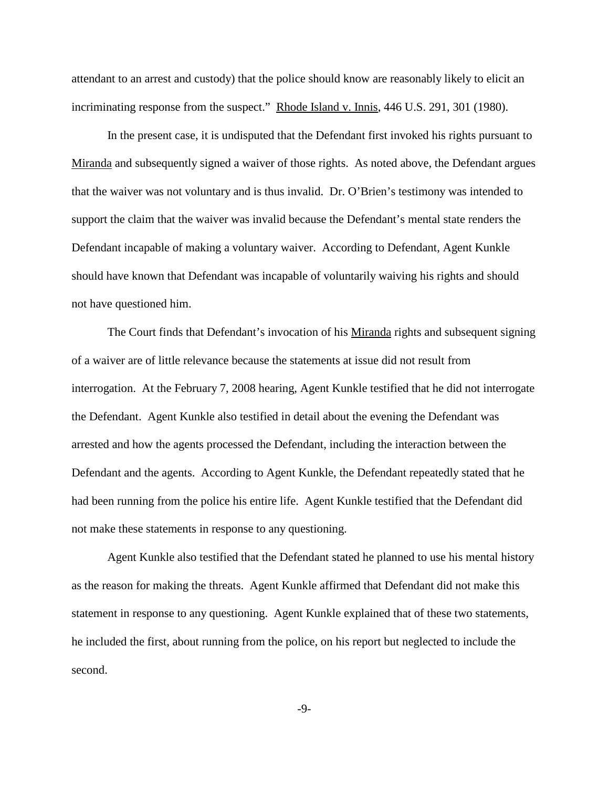attendant to an arrest and custody) that the police should know are reasonably likely to elicit an incriminating response from the suspect." Rhode Island v. Innis, 446 U.S. 291, 301 (1980).

In the present case, it is undisputed that the Defendant first invoked his rights pursuant to Miranda and subsequently signed a waiver of those rights. As noted above, the Defendant argues that the waiver was not voluntary and is thus invalid. Dr. O'Brien's testimony was intended to support the claim that the waiver was invalid because the Defendant's mental state renders the Defendant incapable of making a voluntary waiver. According to Defendant, Agent Kunkle should have known that Defendant was incapable of voluntarily waiving his rights and should not have questioned him.

The Court finds that Defendant's invocation of his Miranda rights and subsequent signing of a waiver are of little relevance because the statements at issue did not result from interrogation. At the February 7, 2008 hearing, Agent Kunkle testified that he did not interrogate the Defendant. Agent Kunkle also testified in detail about the evening the Defendant was arrested and how the agents processed the Defendant, including the interaction between the Defendant and the agents. According to Agent Kunkle, the Defendant repeatedly stated that he had been running from the police his entire life. Agent Kunkle testified that the Defendant did not make these statements in response to any questioning.

Agent Kunkle also testified that the Defendant stated he planned to use his mental history as the reason for making the threats. Agent Kunkle affirmed that Defendant did not make this statement in response to any questioning. Agent Kunkle explained that of these two statements, he included the first, about running from the police, on his report but neglected to include the second.

-9-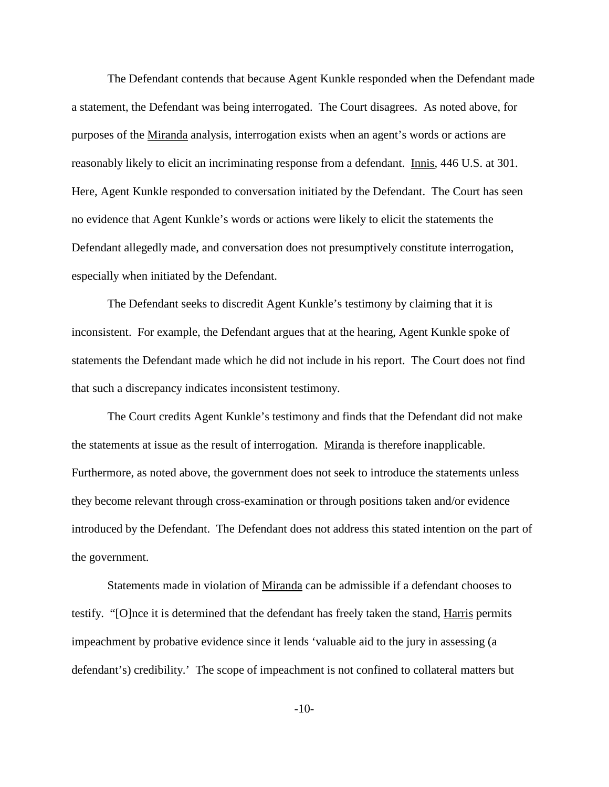The Defendant contends that because Agent Kunkle responded when the Defendant made a statement, the Defendant was being interrogated. The Court disagrees. As noted above, for purposes of the Miranda analysis, interrogation exists when an agent's words or actions are reasonably likely to elicit an incriminating response from a defendant. Innis, 446 U.S. at 301. Here, Agent Kunkle responded to conversation initiated by the Defendant. The Court has seen no evidence that Agent Kunkle's words or actions were likely to elicit the statements the Defendant allegedly made, and conversation does not presumptively constitute interrogation, especially when initiated by the Defendant.

The Defendant seeks to discredit Agent Kunkle's testimony by claiming that it is inconsistent. For example, the Defendant argues that at the hearing, Agent Kunkle spoke of statements the Defendant made which he did not include in his report. The Court does not find that such a discrepancy indicates inconsistent testimony.

The Court credits Agent Kunkle's testimony and finds that the Defendant did not make the statements at issue as the result of interrogation. Miranda is therefore inapplicable. Furthermore, as noted above, the government does not seek to introduce the statements unless they become relevant through cross-examination or through positions taken and/or evidence introduced by the Defendant. The Defendant does not address this stated intention on the part of the government.

Statements made in violation of Miranda can be admissible if a defendant chooses to testify. "[O]nce it is determined that the defendant has freely taken the stand, Harris permits impeachment by probative evidence since it lends 'valuable aid to the jury in assessing (a defendant's) credibility.' The scope of impeachment is not confined to collateral matters but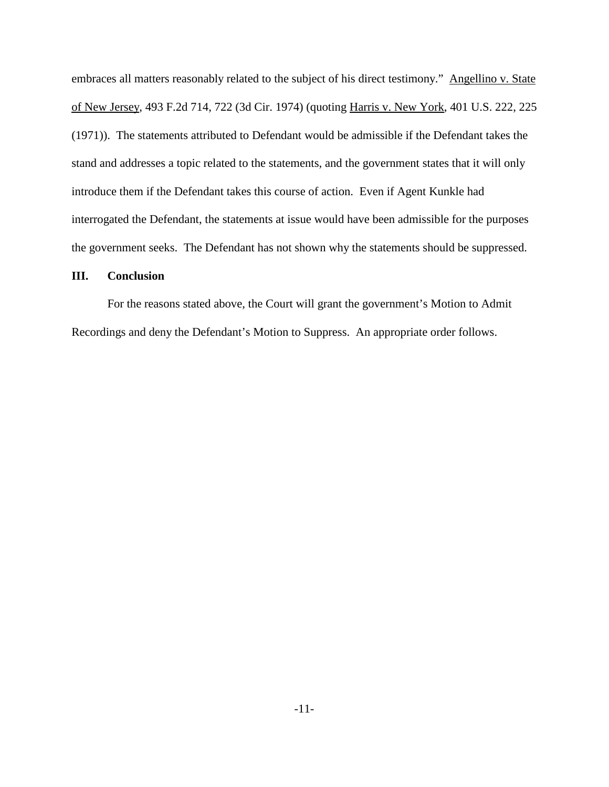embraces all matters reasonably related to the subject of his direct testimony." Angellino v. State of New Jersey, 493 F.2d 714, 722 (3d Cir. 1974) (quoting Harris v. New York, 401 U.S. 222, 225 (1971)). The statements attributed to Defendant would be admissible if the Defendant takes the stand and addresses a topic related to the statements, and the government states that it will only introduce them if the Defendant takes this course of action. Even if Agent Kunkle had interrogated the Defendant, the statements at issue would have been admissible for the purposes the government seeks. The Defendant has not shown why the statements should be suppressed.

## **III. Conclusion**

For the reasons stated above, the Court will grant the government's Motion to Admit Recordings and deny the Defendant's Motion to Suppress. An appropriate order follows.